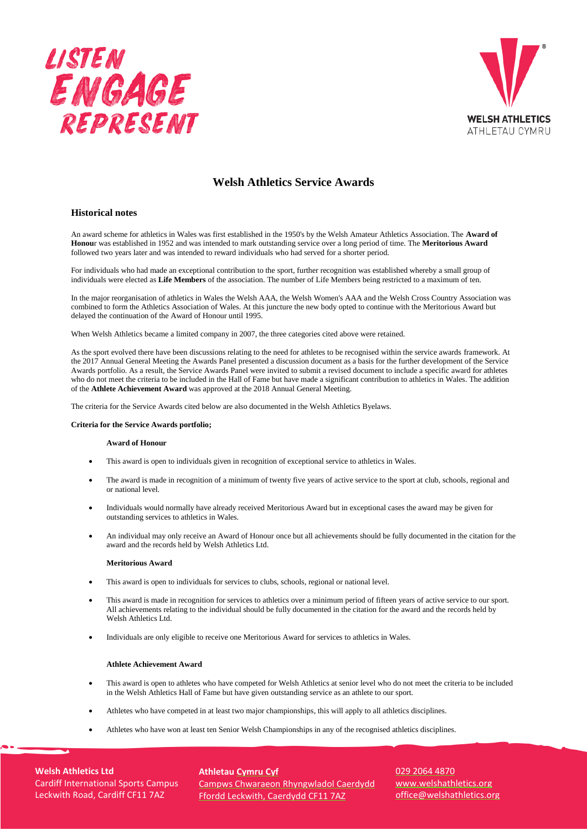



# **Welsh Athletics Service Awards**

## **Historical notes**

An award scheme for athletics in Wales was first established in the 1950's by the Welsh Amateur Athletics Association. The **Award of Honou**r was established in 1952 and was intended to mark outstanding service over a long period of time. The **Meritorious Award**  followed two years later and was intended to reward individuals who had served for a shorter period.

For individuals who had made an exceptional contribution to the sport, further recognition was established whereby a small group of individuals were elected as **Life Members** of the association. The number of Life Members being restricted to a maximum of ten.

In the major reorganisation of athletics in Wales the Welsh AAA, the Welsh Women's AAA and the Welsh Cross Country Association was combined to form the Athletics Association of Wales. At this juncture the new body opted to continue with the Meritorious Award but delayed the continuation of the Award of Honour until 1995.

When Welsh Athletics became a limited company in 2007, the three categories cited above were retained.

As the sport evolved there have been discussions relating to the need for athletes to be recognised within the service awards framework. At the 2017 Annual General Meeting the Awards Panel presented a discussion document as a basis for the further development of the Service Awards portfolio. As a result, the Service Awards Panel were invited to submit a revised document to include a specific award for athletes who do not meet the criteria to be included in the Hall of Fame but have made a significant contribution to athletics in Wales. The addition of the **Athlete Achievement Award** was approved at the 2018 Annual General Meeting.

The criteria for the Service Awards cited below are also documented in the Welsh Athletics Byelaws.

## **Criteria for the Service Awards portfolio;**

## **Award of Honour**

- This award is open to individuals given in recognition of exceptional service to athletics in Wales.
- The award is made in recognition of a minimum of twenty five years of active service to the sport at club, schools, regional and or national level.
- Individuals would normally have already received Meritorious Award but in exceptional cases the award may be given for outstanding services to athletics in Wales.
- An individual may only receive an Award of Honour once but all achievements should be fully documented in the citation for the award and the records held by Welsh Athletics Ltd.

### **Meritorious Award**

- This award is open to individuals for services to clubs, schools, regional or national level.
- This award is made in recognition for services to athletics over a minimum period of fifteen years of active service to our sport. All achievements relating to the individual should be fully documented in the citation for the award and the records held by Welsh Athletics Ltd.
- Individuals are only eligible to receive one Meritorious Award for services to athletics in Wales.

## **Athlete Achievement Award**

- This award is open to athletes who have competed for Welsh Athletics at senior level who do not meet the criteria to be included in the Welsh Athletics Hall of Fame but have given outstanding service as an athlete to our sport.
- Athletes who have competed in at least two major championships, this will apply to all athletics disciplines.
- Athletes who have won at least ten Senior Welsh Championships in any of the recognised athletics disciplines.

**Welsh Athletics Ltd** Cardiff International Sports Campus Leckwith Road, Cardiff CF11 7AZ

**Athletau Cymru Cyf** Campws Chwaraeon Rhyngwladol Caerdydd Ffordd Leckwith, Caerdydd CF11 7AZ

029 2064 4870 www.welshathletics.org office@welshathletics.org